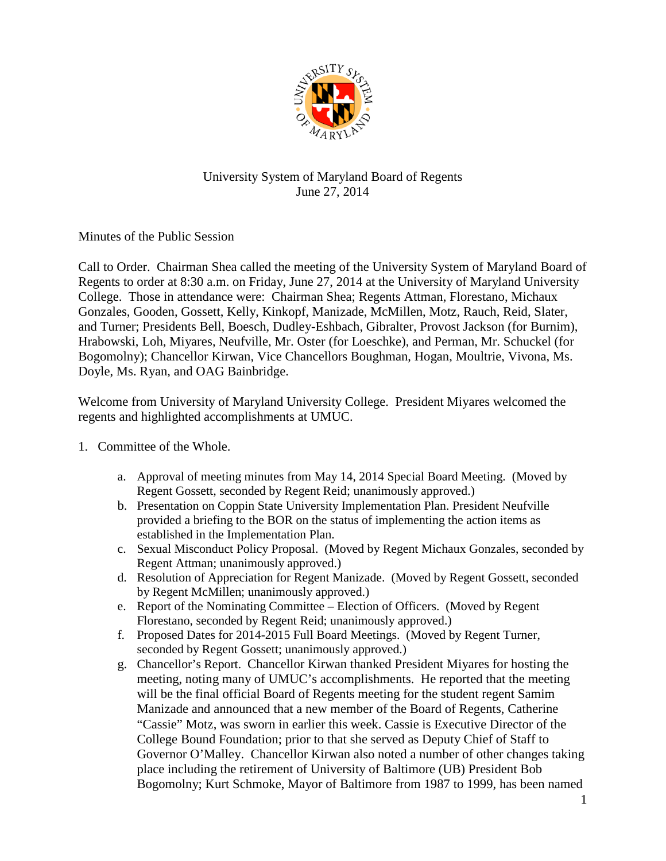

## University System of Maryland Board of Regents June 27, 2014

Minutes of the Public Session

Call to Order. Chairman Shea called the meeting of the University System of Maryland Board of Regents to order at 8:30 a.m. on Friday, June 27, 2014 at the University of Maryland University College. Those in attendance were: Chairman Shea; Regents Attman, Florestano, Michaux Gonzales, Gooden, Gossett, Kelly, Kinkopf, Manizade, McMillen, Motz, Rauch, Reid, Slater, and Turner; Presidents Bell, Boesch, Dudley-Eshbach, Gibralter, Provost Jackson (for Burnim), Hrabowski, Loh, Miyares, Neufville, Mr. Oster (for Loeschke), and Perman, Mr. Schuckel (for Bogomolny); Chancellor Kirwan, Vice Chancellors Boughman, Hogan, Moultrie, Vivona, Ms. Doyle, Ms. Ryan, and OAG Bainbridge.

Welcome from University of Maryland University College. President Miyares welcomed the regents and highlighted accomplishments at UMUC.

- 1. Committee of the Whole.
	- a. Approval of meeting minutes from May 14, 2014 Special Board Meeting. (Moved by Regent Gossett, seconded by Regent Reid; unanimously approved.)
	- b. Presentation on Coppin State University Implementation Plan. President Neufville provided a briefing to the BOR on the status of implementing the action items as established in the Implementation Plan.
	- c. Sexual Misconduct Policy Proposal. (Moved by Regent Michaux Gonzales, seconded by Regent Attman; unanimously approved.)
	- d. Resolution of Appreciation for Regent Manizade. (Moved by Regent Gossett, seconded by Regent McMillen; unanimously approved.)
	- e. Report of the Nominating Committee Election of Officers. (Moved by Regent Florestano, seconded by Regent Reid; unanimously approved.)
	- f. Proposed Dates for 2014-2015 Full Board Meetings. (Moved by Regent Turner, seconded by Regent Gossett; unanimously approved.)
	- g. Chancellor's Report. Chancellor Kirwan thanked President Miyares for hosting the meeting, noting many of UMUC's accomplishments. He reported that the meeting will be the final official Board of Regents meeting for the student regent Samim Manizade and announced that a new member of the Board of Regents, Catherine "Cassie" Motz, was sworn in earlier this week. Cassie is Executive Director of the College Bound Foundation; prior to that she served as Deputy Chief of Staff to Governor O'Malley. Chancellor Kirwan also noted a number of other changes taking place including the retirement of University of Baltimore (UB) President Bob Bogomolny; Kurt Schmoke, Mayor of Baltimore from 1987 to 1999, has been named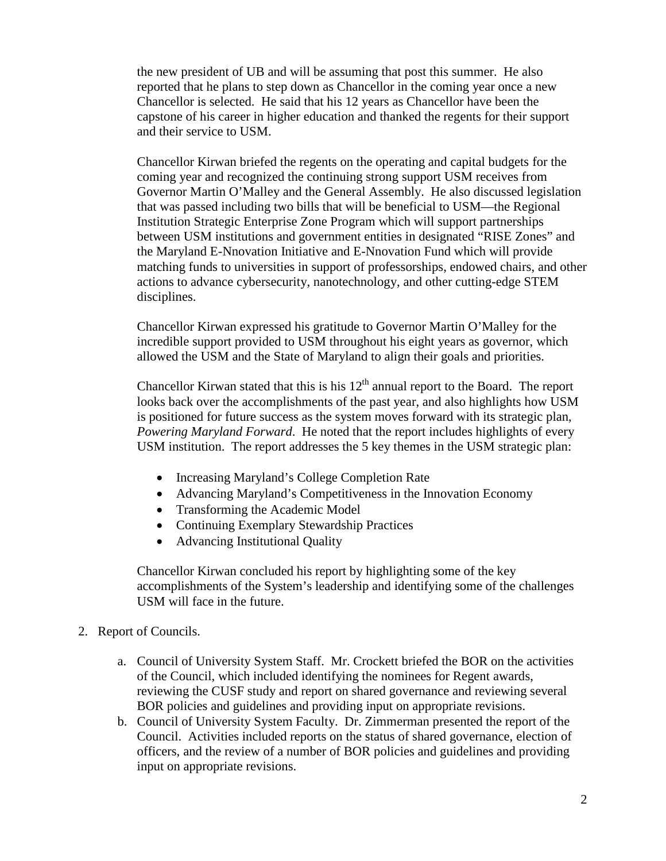the new president of UB and will be assuming that post this summer. He also reported that he plans to step down as Chancellor in the coming year once a new Chancellor is selected. He said that his 12 years as Chancellor have been the capstone of his career in higher education and thanked the regents for their support and their service to USM.

Chancellor Kirwan briefed the regents on the operating and capital budgets for the coming year and recognized the continuing strong support USM receives from Governor Martin O'Malley and the General Assembly. He also discussed legislation that was passed including two bills that will be beneficial to USM—the Regional Institution Strategic Enterprise Zone Program which will support partnerships between USM institutions and government entities in designated "RISE Zones" and the Maryland E-Nnovation Initiative and E-Nnovation Fund which will provide matching funds to universities in support of professorships, endowed chairs, and other actions to advance cybersecurity, nanotechnology, and other cutting-edge STEM disciplines.

Chancellor Kirwan expressed his gratitude to Governor Martin O'Malley for the incredible support provided to USM throughout his eight years as governor, which allowed the USM and the State of Maryland to align their goals and priorities.

Chancellor Kirwan stated that this is his  $12<sup>th</sup>$  annual report to the Board. The report looks back over the accomplishments of the past year, and also highlights how USM is positioned for future success as the system moves forward with its strategic plan, *Powering Maryland Forward*. He noted that the report includes highlights of every USM institution. The report addresses the 5 key themes in the USM strategic plan:

- Increasing Maryland's College Completion Rate
- Advancing Maryland's Competitiveness in the Innovation Economy
- Transforming the Academic Model
- Continuing Exemplary Stewardship Practices
- Advancing Institutional Quality

Chancellor Kirwan concluded his report by highlighting some of the key accomplishments of the System's leadership and identifying some of the challenges USM will face in the future.

- 2. Report of Councils.
	- a. Council of University System Staff. Mr. Crockett briefed the BOR on the activities of the Council, which included identifying the nominees for Regent awards, reviewing the CUSF study and report on shared governance and reviewing several BOR policies and guidelines and providing input on appropriate revisions.
	- b. Council of University System Faculty. Dr. Zimmerman presented the report of the Council. Activities included reports on the status of shared governance, election of officers, and the review of a number of BOR policies and guidelines and providing input on appropriate revisions.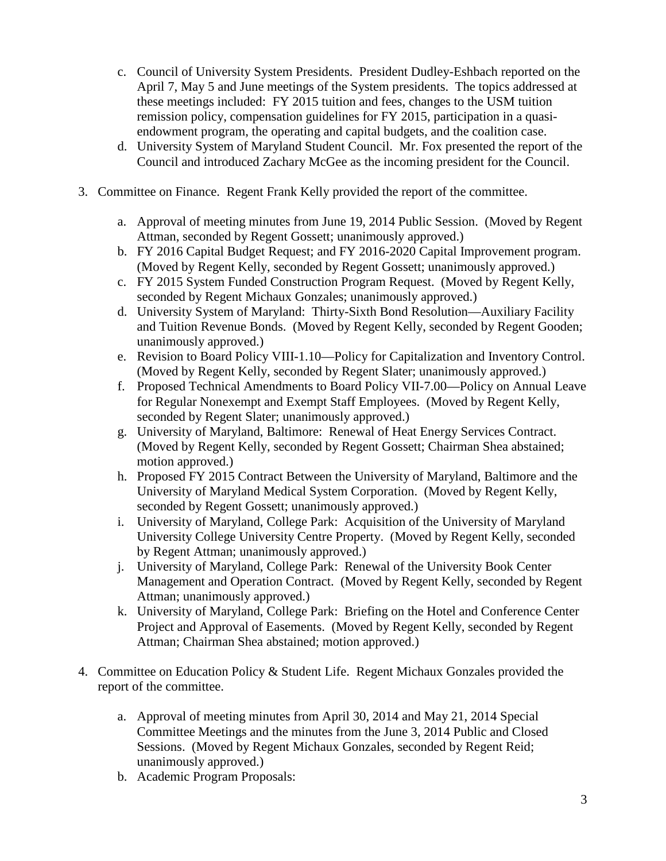- c. Council of University System Presidents. President Dudley-Eshbach reported on the April 7, May 5 and June meetings of the System presidents. The topics addressed at these meetings included: FY 2015 tuition and fees, changes to the USM tuition remission policy, compensation guidelines for FY 2015, participation in a quasiendowment program, the operating and capital budgets, and the coalition case.
- d. University System of Maryland Student Council. Mr. Fox presented the report of the Council and introduced Zachary McGee as the incoming president for the Council.
- 3. Committee on Finance. Regent Frank Kelly provided the report of the committee.
	- a. Approval of meeting minutes from June 19, 2014 Public Session. (Moved by Regent Attman, seconded by Regent Gossett; unanimously approved.)
	- b. FY 2016 Capital Budget Request; and FY 2016-2020 Capital Improvement program. (Moved by Regent Kelly, seconded by Regent Gossett; unanimously approved.)
	- c. FY 2015 System Funded Construction Program Request. (Moved by Regent Kelly, seconded by Regent Michaux Gonzales; unanimously approved.)
	- d. University System of Maryland: Thirty-Sixth Bond Resolution—Auxiliary Facility and Tuition Revenue Bonds. (Moved by Regent Kelly, seconded by Regent Gooden; unanimously approved.)
	- e. Revision to Board Policy VIII-1.10—Policy for Capitalization and Inventory Control. (Moved by Regent Kelly, seconded by Regent Slater; unanimously approved.)
	- f. Proposed Technical Amendments to Board Policy VII-7.00—Policy on Annual Leave for Regular Nonexempt and Exempt Staff Employees. (Moved by Regent Kelly, seconded by Regent Slater; unanimously approved.)
	- g. University of Maryland, Baltimore: Renewal of Heat Energy Services Contract. (Moved by Regent Kelly, seconded by Regent Gossett; Chairman Shea abstained; motion approved.)
	- h. Proposed FY 2015 Contract Between the University of Maryland, Baltimore and the University of Maryland Medical System Corporation. (Moved by Regent Kelly, seconded by Regent Gossett; unanimously approved.)
	- i. University of Maryland, College Park: Acquisition of the University of Maryland University College University Centre Property. (Moved by Regent Kelly, seconded by Regent Attman; unanimously approved.)
	- j. University of Maryland, College Park: Renewal of the University Book Center Management and Operation Contract. (Moved by Regent Kelly, seconded by Regent Attman; unanimously approved.)
	- k. University of Maryland, College Park: Briefing on the Hotel and Conference Center Project and Approval of Easements. (Moved by Regent Kelly, seconded by Regent Attman; Chairman Shea abstained; motion approved.)
- 4. Committee on Education Policy & Student Life. Regent Michaux Gonzales provided the report of the committee.
	- a. Approval of meeting minutes from April 30, 2014 and May 21, 2014 Special Committee Meetings and the minutes from the June 3, 2014 Public and Closed Sessions. (Moved by Regent Michaux Gonzales, seconded by Regent Reid; unanimously approved.)
	- b. Academic Program Proposals: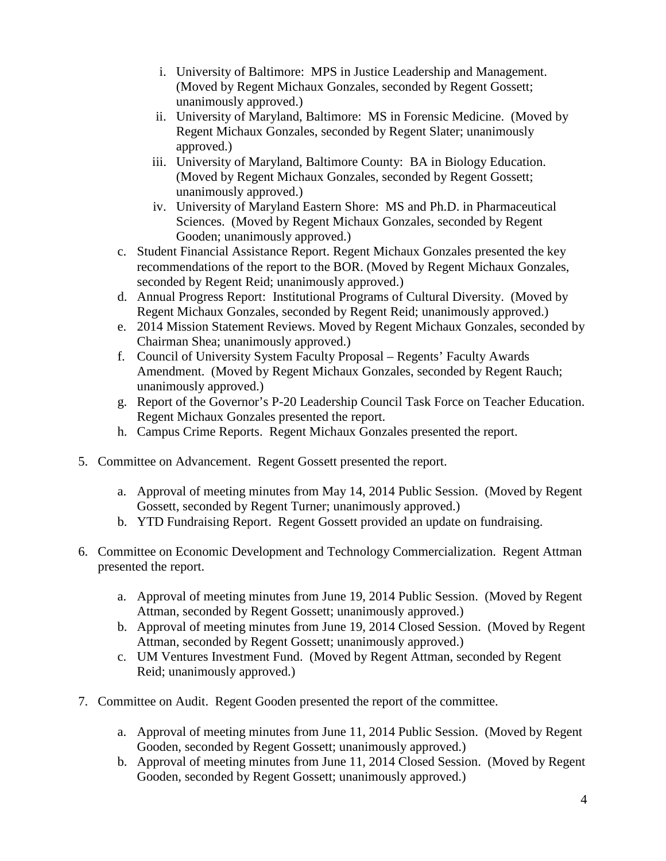- i. University of Baltimore: MPS in Justice Leadership and Management. (Moved by Regent Michaux Gonzales, seconded by Regent Gossett; unanimously approved.)
- ii. University of Maryland, Baltimore: MS in Forensic Medicine. (Moved by Regent Michaux Gonzales, seconded by Regent Slater; unanimously approved.)
- iii. University of Maryland, Baltimore County: BA in Biology Education. (Moved by Regent Michaux Gonzales, seconded by Regent Gossett; unanimously approved.)
- iv. University of Maryland Eastern Shore: MS and Ph.D. in Pharmaceutical Sciences. (Moved by Regent Michaux Gonzales, seconded by Regent Gooden; unanimously approved.)
- c. Student Financial Assistance Report. Regent Michaux Gonzales presented the key recommendations of the report to the BOR. (Moved by Regent Michaux Gonzales, seconded by Regent Reid; unanimously approved.)
- d. Annual Progress Report: Institutional Programs of Cultural Diversity. (Moved by Regent Michaux Gonzales, seconded by Regent Reid; unanimously approved.)
- e. 2014 Mission Statement Reviews. Moved by Regent Michaux Gonzales, seconded by Chairman Shea; unanimously approved.)
- f. Council of University System Faculty Proposal Regents' Faculty Awards Amendment. (Moved by Regent Michaux Gonzales, seconded by Regent Rauch; unanimously approved.)
- g. Report of the Governor's P-20 Leadership Council Task Force on Teacher Education. Regent Michaux Gonzales presented the report.
- h. Campus Crime Reports. Regent Michaux Gonzales presented the report.
- 5. Committee on Advancement. Regent Gossett presented the report.
	- a. Approval of meeting minutes from May 14, 2014 Public Session. (Moved by Regent Gossett, seconded by Regent Turner; unanimously approved.)
	- b. YTD Fundraising Report. Regent Gossett provided an update on fundraising.
- 6. Committee on Economic Development and Technology Commercialization. Regent Attman presented the report.
	- a. Approval of meeting minutes from June 19, 2014 Public Session. (Moved by Regent Attman, seconded by Regent Gossett; unanimously approved.)
	- b. Approval of meeting minutes from June 19, 2014 Closed Session. (Moved by Regent Attman, seconded by Regent Gossett; unanimously approved.)
	- c. UM Ventures Investment Fund. (Moved by Regent Attman, seconded by Regent Reid; unanimously approved.)
- 7. Committee on Audit. Regent Gooden presented the report of the committee.
	- a. Approval of meeting minutes from June 11, 2014 Public Session. (Moved by Regent Gooden, seconded by Regent Gossett; unanimously approved.)
	- b. Approval of meeting minutes from June 11, 2014 Closed Session. (Moved by Regent Gooden, seconded by Regent Gossett; unanimously approved.)